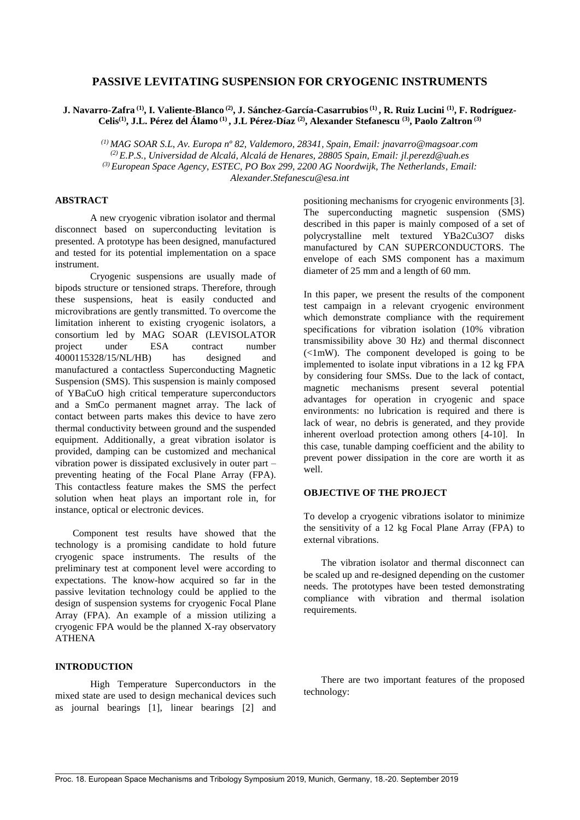# **PASSIVE LEVITATING SUSPENSION FOR CRYOGENIC INSTRUMENTS**

**J. Navarro-Zafra (1) , I. Valiente-Blanco (2) , J. Sánchez-García-Casarrubios(1) , R. Ruiz Lucini (1) , F. Rodríguez-Celis(1) , J.L. Pérez del Álamo (1) , J.L Pérez-Díaz (2) , Alexander Stefanescu (3) , Paolo Zaltron (3)**

*(1) MAG SOAR S.L, Av. Europa nº 82, Valdemoro, 28341, Spain, Email: jnavarro@magsoar.com (2) E.P.S., Universidad de Alcalá, Alcalá de Henares, 28805 Spain, Email: [jl.perezd@uah.es](mailto:jl.perezd@uah.es) (3) European Space Agency, ESTEC, PO Box 299, 2200 AG Noordwijk, The Netherlands, Email: Alexander.Stefanescu@esa.int*

# **ABSTRACT**

A new cryogenic vibration isolator and thermal disconnect based on superconducting levitation is presented. A prototype has been designed, manufactured and tested for its potential implementation on a space instrument.

Cryogenic suspensions are usually made of bipods structure or tensioned straps. Therefore, through these suspensions, heat is easily conducted and microvibrations are gently transmitted. To overcome the limitation inherent to existing cryogenic isolators, a consortium led by MAG SOAR (LEVISOLATOR project under ESA contract number 4000115328/15/NL/HB) has designed and manufactured a contactless Superconducting Magnetic Suspension (SMS). This suspension is mainly composed of YBaCuO high critical temperature superconductors and a SmCo permanent magnet array. The lack of contact between parts makes this device to have zero thermal conductivity between ground and the suspended equipment. Additionally, a great vibration isolator is provided, damping can be customized and mechanical vibration power is dissipated exclusively in outer part – preventing heating of the Focal Plane Array (FPA). This contactless feature makes the SMS the perfect solution when heat plays an important role in, for instance, optical or electronic devices.

Component test results have showed that the technology is a promising candidate to hold future cryogenic space instruments. The results of the preliminary test at component level were according to expectations. The know-how acquired so far in the passive levitation technology could be applied to the design of suspension systems for cryogenic Focal Plane Array (FPA). An example of a mission utilizing a cryogenic FPA would be the planned X-ray observatory ATHENA

## **INTRODUCTION**

High Temperature Superconductors in the mixed state are used to design mechanical devices such as journal bearings [1], linear bearings [2] and

positioning mechanisms for cryogenic environments [3]. The superconducting magnetic suspension (SMS) described in this paper is mainly composed of a set of polycrystalline melt textured YBa2Cu3O7 disks manufactured by CAN SUPERCONDUCTORS. The envelope of each SMS component has a maximum diameter of 25 mm and a length of 60 mm.

In this paper, we present the results of the component test campaign in a relevant cryogenic environment which demonstrate compliance with the requirement specifications for vibration isolation (10% vibration transmissibility above 30 Hz) and thermal disconnect  $\leq 1$ mW). The component developed is going to be implemented to isolate input vibrations in a 12 kg FPA by considering four SMSs. Due to the lack of contact, magnetic mechanisms present several potential advantages for operation in cryogenic and space environments: no lubrication is required and there is lack of wear, no debris is generated, and they provide inherent overload protection among others [4-10]. In this case, tunable damping coefficient and the ability to prevent power dissipation in the core are worth it as well.

## **OBJECTIVE OF THE PROJECT**

To develop a cryogenic vibrations isolator to minimize the sensitivity of a 12 kg Focal Plane Array (FPA) to external vibrations.

The vibration isolator and thermal disconnect can be scaled up and re-designed depending on the customer needs. The prototypes have been tested demonstrating compliance with vibration and thermal isolation requirements.

There are two important features of the proposed technology: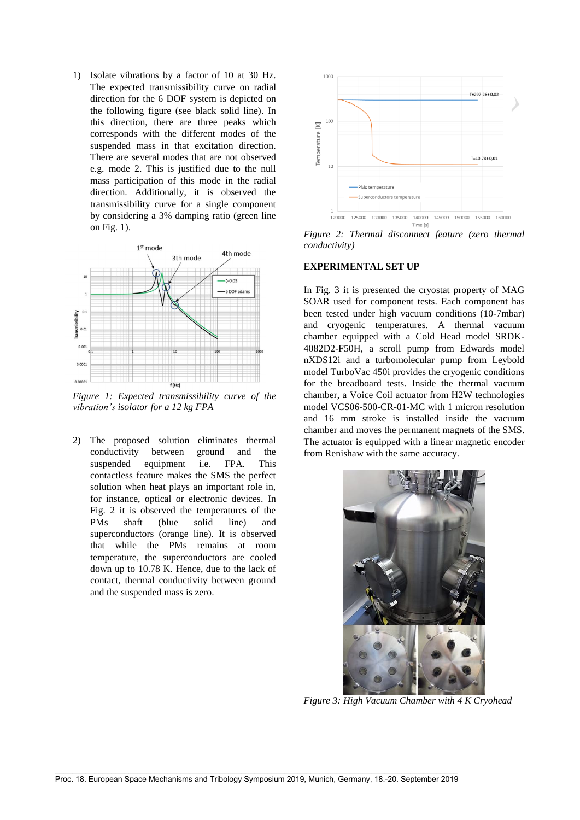1) Isolate vibrations by a factor of 10 at 30 Hz. The expected transmissibility curve on radial direction for the 6 DOF system is depicted on the following figure (see black solid line). In this direction, there are three peaks which corresponds with the different modes of the suspended mass in that excitation direction. There are several modes that are not observed e.g. mode 2. This is justified due to the null mass participation of this mode in the radial direction. Additionally, it is observed the transmissibility curve for a single component by considering a 3% damping ratio (green line on Fig. 1).



*Figure 1: Expected transmissibility curve of the vibration's isolator for a 12 kg FPA*

2) The proposed solution eliminates thermal conductivity between ground and the suspended equipment i.e. FPA. This contactless feature makes the SMS the perfect solution when heat plays an important role in, for instance, optical or electronic devices. In Fig. 2 it is observed the temperatures of the PMs shaft (blue solid line) and superconductors (orange line). It is observed that while the PMs remains at room temperature, the superconductors are cooled down up to 10.78 K. Hence, due to the lack of contact, thermal conductivity between ground and the suspended mass is zero.



*Figure 2: Thermal disconnect feature (zero thermal conductivity)*

#### **EXPERIMENTAL SET UP**

In Fig. 3 it is presented the cryostat property of MAG SOAR used for component tests. Each component has been tested under high vacuum conditions (10-7mbar) and cryogenic temperatures. A thermal vacuum chamber equipped with a Cold Head model SRDK-4082D2-F50H, a scroll pump from Edwards model nXDS12i and a turbomolecular pump from Leybold model TurboVac 450i provides the cryogenic conditions for the breadboard tests. Inside the thermal vacuum chamber, a Voice Coil actuator from H2W technologies model VCS06-500-CR-01-MC with 1 micron resolution and 16 mm stroke is installed inside the vacuum chamber and moves the permanent magnets of the SMS. The actuator is equipped with a linear magnetic encoder from Renishaw with the same accuracy.



*Figure 3: High Vacuum Chamber with 4 K Cryohead*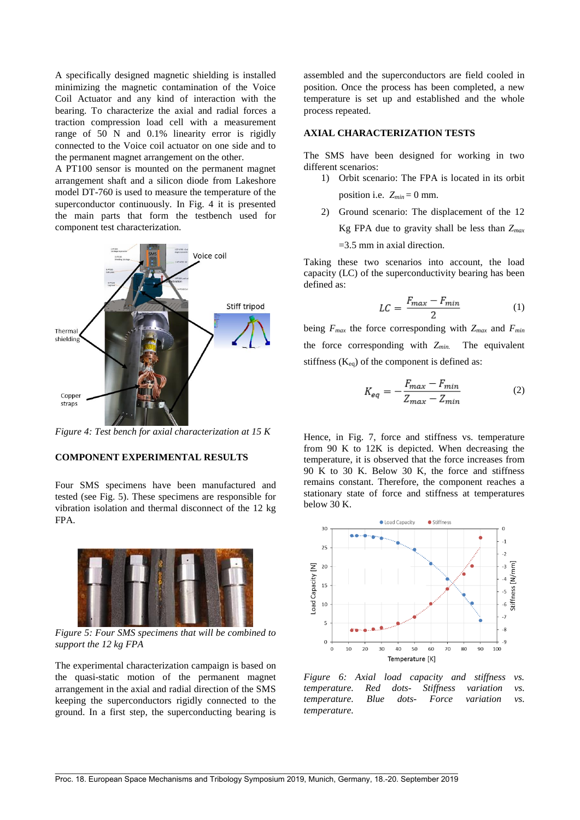A specifically designed magnetic shielding is installed minimizing the magnetic contamination of the Voice Coil Actuator and any kind of interaction with the bearing. To characterize the axial and radial forces a traction compression load cell with a measurement range of 50 N and 0.1% linearity error is rigidly connected to the Voice coil actuator on one side and to the permanent magnet arrangement on the other.

A PT100 sensor is mounted on the permanent magnet arrangement shaft and a silicon diode from Lakeshore model DT-760 is used to measure the temperature of the superconductor continuously. In Fig. 4 it is presented the main parts that form the testbench used for component test characterization.



*Figure 4: Test bench for axial characterization at 15 K*

# **COMPONENT EXPERIMENTAL RESULTS**

Four SMS specimens have been manufactured and tested (see Fig. 5). These specimens are responsible for vibration isolation and thermal disconnect of the 12 kg FPA.



*Figure 5: Four SMS specimens that will be combined to support the 12 kg FPA*

The experimental characterization campaign is based on the quasi-static motion of the permanent magnet arrangement in the axial and radial direction of the SMS keeping the superconductors rigidly connected to the ground. In a first step, the superconducting bearing is

assembled and the superconductors are field cooled in position. Once the process has been completed, a new temperature is set up and established and the whole process repeated.

### **AXIAL CHARACTERIZATION TESTS**

The SMS have been designed for working in two different scenarios:

- 1) Orbit scenario: The FPA is located in its orbit position i.e.  $Z_{min} = 0$  mm.
- 2) Ground scenario: The displacement of the 12 Kg FPA due to gravity shall be less than *Zmax* =3.5 mm in axial direction.

Taking these two scenarios into account, the load capacity (LC) of the superconductivity bearing has been defined as:

$$
LC = \frac{F_{max} - F_{min}}{2} \tag{1}
$$

being  $F_{max}$  the force corresponding with  $Z_{max}$  and  $F_{min}$ the force corresponding with *Zmin.* The equivalent stiffness  $(K_{eq})$  of the component is defined as:

$$
K_{eq} = -\frac{F_{max} - F_{min}}{Z_{max} - Z_{min}}\tag{2}
$$

Hence, in Fig. 7, force and stiffness vs. temperature from 90 K to 12K is depicted. When decreasing the temperature, it is observed that the force increases from 90 K to 30 K. Below 30 K, the force and stiffness remains constant. Therefore, the component reaches a stationary state of force and stiffness at temperatures below 30 K.



*Figure 6: Axial load capacity and stiffness vs. temperature. Red dots- Stiffness variation vs. temperature. Blue dots- Force variation vs. temperature.*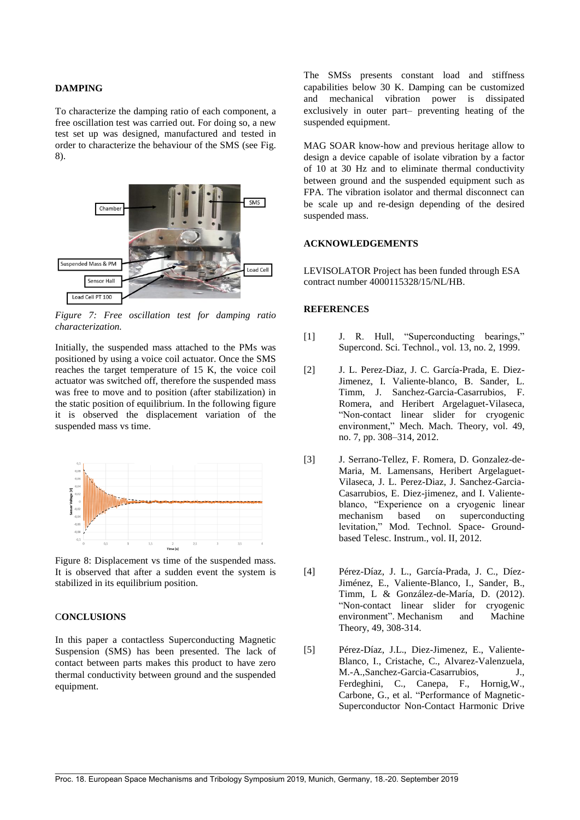#### **DAMPING**

To characterize the damping ratio of each component, a free oscillation test was carried out. For doing so, a new test set up was designed, manufactured and tested in order to characterize the behaviour of the SMS (see Fig. 8).



*Figure 7: Free oscillation test for damping ratio characterization.*

Initially, the suspended mass attached to the PMs was positioned by using a voice coil actuator. Once the SMS reaches the target temperature of 15 K, the voice coil actuator was switched off, therefore the suspended mass was free to move and to position (after stabilization) in the static position of equilibrium. In the following figure it is observed the displacement variation of the suspended mass vs time.



Figure 8: Displacement vs time of the suspended mass. It is observed that after a sudden event the system is stabilized in its equilibrium position.

# C**ONCLUSIONS**

In this paper a contactless Superconducting Magnetic Suspension (SMS) has been presented. The lack of contact between parts makes this product to have zero thermal conductivity between ground and the suspended equipment.

The SMSs presents constant load and stiffness capabilities below 30 K. Damping can be customized and mechanical vibration power is dissipated exclusively in outer part– preventing heating of the suspended equipment.

MAG SOAR know-how and previous heritage allow to design a device capable of isolate vibration by a factor of 10 at 30 Hz and to eliminate thermal conductivity between ground and the suspended equipment such as FPA. The vibration isolator and thermal disconnect can be scale up and re-design depending of the desired suspended mass.

#### **ACKNOWLEDGEMENTS**

LEVISOLATOR Project has been funded through ESA contract number 4000115328/15/NL/HB.

## **REFERENCES**

- [1] J. R. Hull, "Superconducting bearings," Supercond. Sci. Technol., vol. 13, no. 2, 1999.
- [2] J. L. Perez-Diaz, J. C. García-Prada, E. Diez-Jimenez, I. Valiente-blanco, B. Sander, L. Timm, J. Sanchez-Garcia-Casarrubios, F. Romera, and Heribert Argelaguet-Vilaseca, "Non-contact linear slider for cryogenic environment," Mech. Mach. Theory, vol. 49, no. 7, pp. 308–314, 2012.
- [3] J. Serrano-Tellez, F. Romera, D. Gonzalez-de-Maria, M. Lamensans, Heribert Argelaguet-Vilaseca, J. L. Perez-Diaz, J. Sanchez-Garcia-Casarrubios, E. Diez-jimenez, and I. Valienteblanco, "Experience on a cryogenic linear mechanism based on superconducting levitation," Mod. Technol. Space- Groundbased Telesc. Instrum., vol. II, 2012.
- [4] Pérez-Díaz, J. L., García-Prada, J. C., Díez-Jiménez, E., Valiente-Blanco, I., Sander, B., Timm, L & González-de-María, D. (2012). "Non-contact linear slider for cryogenic environment". Mechanism and Machine Theory, 49, 308-314.
- [5] Pérez-Díaz, J.L., Diez-Jimenez, E., Valiente-Blanco, I., Cristache, C., Alvarez-Valenzuela, M.-A.,Sanchez-Garcia-Casarrubios, J., Ferdeghini, C., Canepa, F., Hornig,W., Carbone, G., et al. "Performance of Magnetic-Superconductor Non-Contact Harmonic Drive